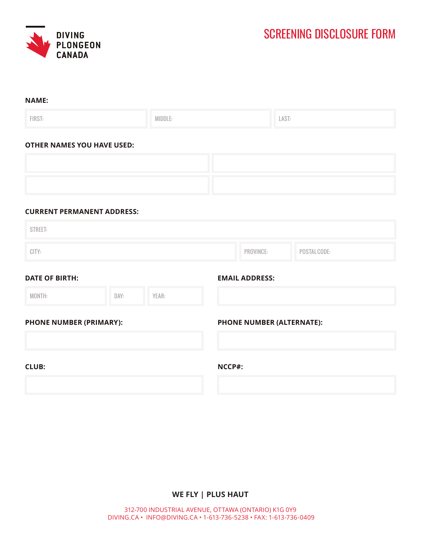

| <b>NAME:</b>                   |                                   |                           |                       |              |  |
|--------------------------------|-----------------------------------|---------------------------|-----------------------|--------------|--|
| FIRST:                         |                                   | MIDDLE:                   |                       | LAST:        |  |
|                                | <b>OTHER NAMES YOU HAVE USED:</b> |                           |                       |              |  |
|                                |                                   |                           |                       |              |  |
|                                |                                   |                           |                       |              |  |
|                                | <b>CURRENT PERMANENT ADDRESS:</b> |                           |                       |              |  |
| <b>STREET:</b>                 |                                   |                           |                       |              |  |
| CITY:                          |                                   | PROVINCE:                 |                       | POSTAL CODE: |  |
| <b>DATE OF BIRTH:</b>          |                                   |                           | <b>EMAIL ADDRESS:</b> |              |  |
| MONTH:                         | DAY:                              | YEAR:                     |                       |              |  |
| <b>PHONE NUMBER (PRIMARY):</b> |                                   | PHONE NUMBER (ALTERNATE): |                       |              |  |
| <b>CLUB:</b>                   |                                   |                           | NCCP#:                |              |  |
|                                |                                   |                           |                       |              |  |

## **WE FLY | PLUS HAUT**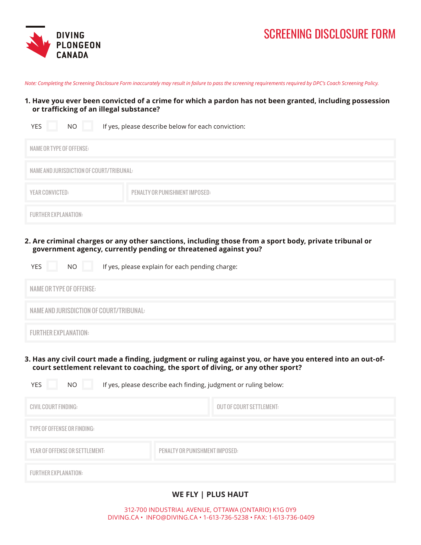

# SCREENING DISCLOSURE FORM

*Note: Completing the Screening Disclosure Form inaccurately may result in failure to pass the screening requirements required by DPC's Coach Screening Policy.*

#### **1. Have you ever been convicted of a crime for which a pardon has not been granted, including possession or trafficking of an illegal substance?**

| <b>YES</b><br>NO.                        | If yes, please describe below for each conviction: |
|------------------------------------------|----------------------------------------------------|
| NAME OR TYPE OF OFFENSE:                 |                                                    |
| NAME AND JURISDICTION OF COURT/TRIBUNAL: |                                                    |
| YEAR CONVICTED:                          | PENALTY OR PUNISHMENT IMPOSED:                     |
| <b>FURTHER EXPLANATION:</b>              |                                                    |

**2. Are criminal charges or any other sanctions, including those from a sport body, private tribunal or government agency, currently pending or threatened against you?**

| If yes, please explain for each pending charge:<br>NO.<br><b>YES</b> |
|----------------------------------------------------------------------|
| NAME OR TYPE OF OFFENSE:                                             |
| NAME AND JURISDICTION OF COURT/TRIBUNAL:                             |
| <b>FURTHER EXPLANATION:</b>                                          |

**3. Has any civil court made a finding, judgment or ruling against you, or have you entered into an out-ofcourt settlement relevant to coaching, the sport of diving, or any other sport?** 

YES NO If yes, please describe each finding, judgment or ruling below:

| CIVIL COURT FINDING:           |                                | <b>OUT OF COURT SETTLEMENT:</b> |
|--------------------------------|--------------------------------|---------------------------------|
| TYPE OF OFFENSE OR FINDING:    |                                |                                 |
| YEAR OF OFFENSE OR SETTLEMENT: | PENALTY OR PUNISHMENT IMPOSED: |                                 |
| <b>FURTHER EXPLANATION:</b>    |                                |                                 |

## **WE FLY | PLUS HAUT**

312-700 INDUSTRIAL AVENUE, OTTAWA (ONTARIO) K1G 0Y9 DIVING.CA • INFO@DIVING.CA • 1-613-736-5238 • FAX: 1-613-736-0409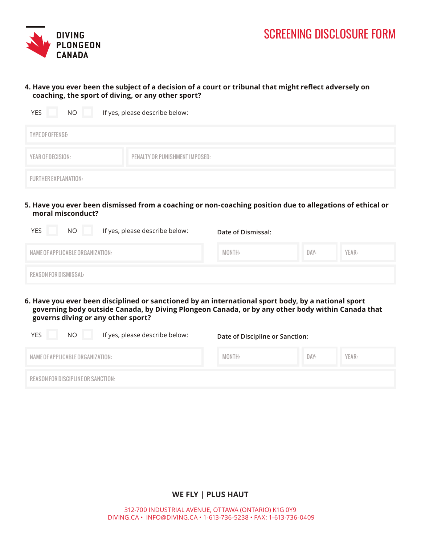

#### **4. Have you ever been the subject of a decision of a court or tribunal that might reflect adversely on coaching, the sport of diving, or any other sport?**

| <b>YES</b><br>NO.           | If yes, please describe below: |
|-----------------------------|--------------------------------|
| TYPE OF OFFENSE:            |                                |
| YEAR OF DECISION:           | PENALTY OR PUNISHMENT IMPOSED: |
| <b>FURTHER EXPLANATION:</b> |                                |

**5. Have you ever been dismissed from a coaching or non-coaching position due to allegations of ethical or moral misconduct?**

| If yes, please describe below:<br><b>YES</b><br>NO. | Date of Dismissal: |      |       |
|-----------------------------------------------------|--------------------|------|-------|
| NAME OF APPLICABLE ORGANIZATION:                    | MONTH:             | DAY: | YEAR: |
| REASON FOR DISMISSAL:                               |                    |      |       |

**6. Have you ever been disciplined or sanctioned by an international sport body, by a national sport governing body outside Canada, by Diving Plongeon Canada, or by any other body within Canada that governs diving or any other sport?**

| YES<br>NO.                         | If yes, please describe below: | Date of Discipline or Sanction: |      |       |
|------------------------------------|--------------------------------|---------------------------------|------|-------|
| NAME OF APPLICABLE ORGANIZATION:   |                                | MONTH:                          | DAY: | YEAR: |
| REASON FOR DISCIPLINE OR SANCTION: |                                |                                 |      |       |

**WE FLY | PLUS HAUT**